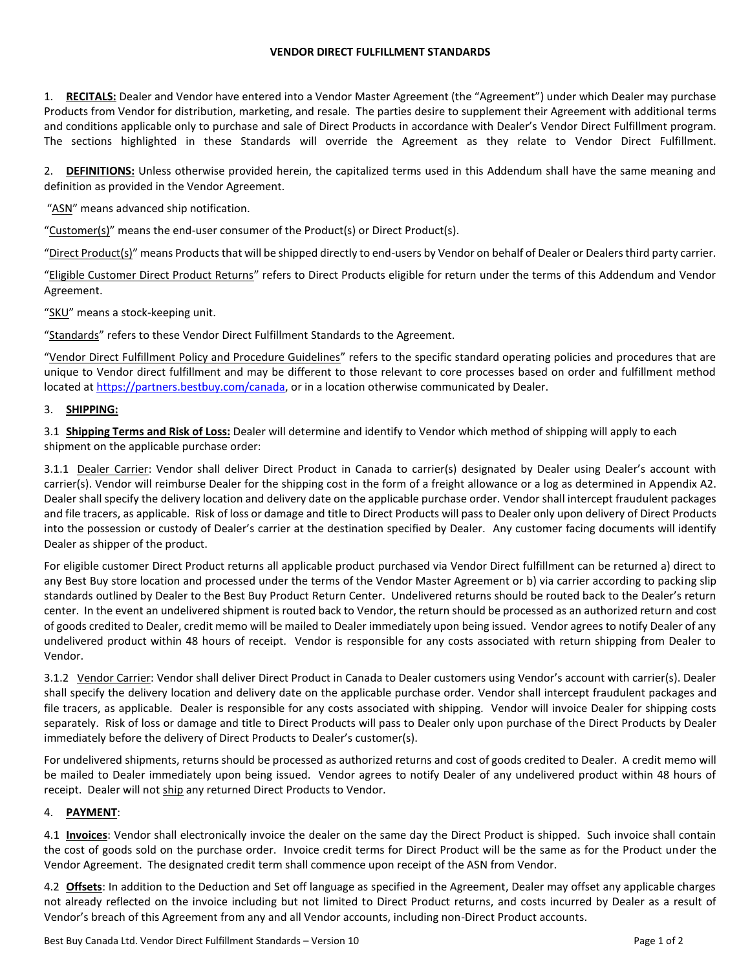## **VENDOR DIRECT FULFILLMENT STANDARDS**

1. **RECITALS:** Dealer and Vendor have entered into a Vendor Master Agreement (the "Agreement") under which Dealer may purchase Products from Vendor for distribution, marketing, and resale. The parties desire to supplement their Agreement with additional terms and conditions applicable only to purchase and sale of Direct Products in accordance with Dealer's Vendor Direct Fulfillment program. The sections highlighted in these Standards will override the Agreement as they relate to Vendor Direct Fulfillment.

2. **DEFINITIONS:** Unless otherwise provided herein, the capitalized terms used in this Addendum shall have the same meaning and definition as provided in the Vendor Agreement.

"ASN" means advanced ship notification.

"Customer(s)" means the end-user consumer of the Product(s) or Direct Product(s).

"Direct Product(s)" means Products that will be shipped directly to end-users by Vendor on behalf of Dealer or Dealers third party carrier.

"Eligible Customer Direct Product Returns" refers to Direct Products eligible for return under the terms of this Addendum and Vendor Agreement.

"SKU" means a stock-keeping unit.

"Standards" refers to these Vendor Direct Fulfillment Standards to the Agreement.

"Vendor Direct Fulfillment Policy and Procedure Guidelines" refers to the specific standard operating policies and procedures that are unique to Vendor direct fulfillment and may be different to those relevant to core processes based on order and fulfillment method located at [https://partners.bestbuy.com/canada,](https://partners.bestbuy.com/canada) or in a location otherwise communicated by Dealer.

## 3. **SHIPPING:**

3.1 **Shipping Terms and Risk of Loss:** Dealer will determine and identify to Vendor which method of shipping will apply to each shipment on the applicable purchase order:

3.1.1 Dealer Carrier: Vendor shall deliver Direct Product in Canada to carrier(s) designated by Dealer using Dealer's account with carrier(s). Vendor will reimburse Dealer for the shipping cost in the form of a freight allowance or a log as determined in Appendix A2. Dealer shall specify the delivery location and delivery date on the applicable purchase order. Vendor shall intercept fraudulent packages and file tracers, as applicable. Risk of loss or damage and title to Direct Products will pass to Dealer only upon delivery of Direct Products into the possession or custody of Dealer's carrier at the destination specified by Dealer. Any customer facing documents will identify Dealer as shipper of the product.

For eligible customer Direct Product returns all applicable product purchased via Vendor Direct fulfillment can be returned a) direct to any Best Buy store location and processed under the terms of the Vendor Master Agreement or b) via carrier according to packing slip standards outlined by Dealer to the Best Buy Product Return Center. Undelivered returns should be routed back to the Dealer's return center. In the event an undelivered shipment is routed back to Vendor, the return should be processed as an authorized return and cost of goods credited to Dealer, credit memo will be mailed to Dealer immediately upon being issued. Vendor agrees to notify Dealer of any undelivered product within 48 hours of receipt. Vendor is responsible for any costs associated with return shipping from Dealer to Vendor.

3.1.2 Vendor Carrier: Vendor shall deliver Direct Product in Canada to Dealer customers using Vendor's account with carrier(s). Dealer shall specify the delivery location and delivery date on the applicable purchase order. Vendor shall intercept fraudulent packages and file tracers, as applicable. Dealer is responsible for any costs associated with shipping. Vendor will invoice Dealer for shipping costs separately. Risk of loss or damage and title to Direct Products will pass to Dealer only upon purchase of the Direct Products by Dealer immediately before the delivery of Direct Products to Dealer's customer(s).

For undelivered shipments, returns should be processed as authorized returns and cost of goods credited to Dealer. A credit memo will be mailed to Dealer immediately upon being issued. Vendor agrees to notify Dealer of any undelivered product within 48 hours of receipt. Dealer will not ship any returned Direct Products to Vendor.

## 4. **PAYMENT**:

4.1 **Invoices**: Vendor shall electronically invoice the dealer on the same day the Direct Product is shipped. Such invoice shall contain the cost of goods sold on the purchase order. Invoice credit terms for Direct Product will be the same as for the Product under the Vendor Agreement. The designated credit term shall commence upon receipt of the ASN from Vendor.

4.2 **Offsets**: In addition to the Deduction and Set off language as specified in the Agreement, Dealer may offset any applicable charges not already reflected on the invoice including but not limited to Direct Product returns, and costs incurred by Dealer as a result of Vendor's breach of this Agreement from any and all Vendor accounts, including non-Direct Product accounts.